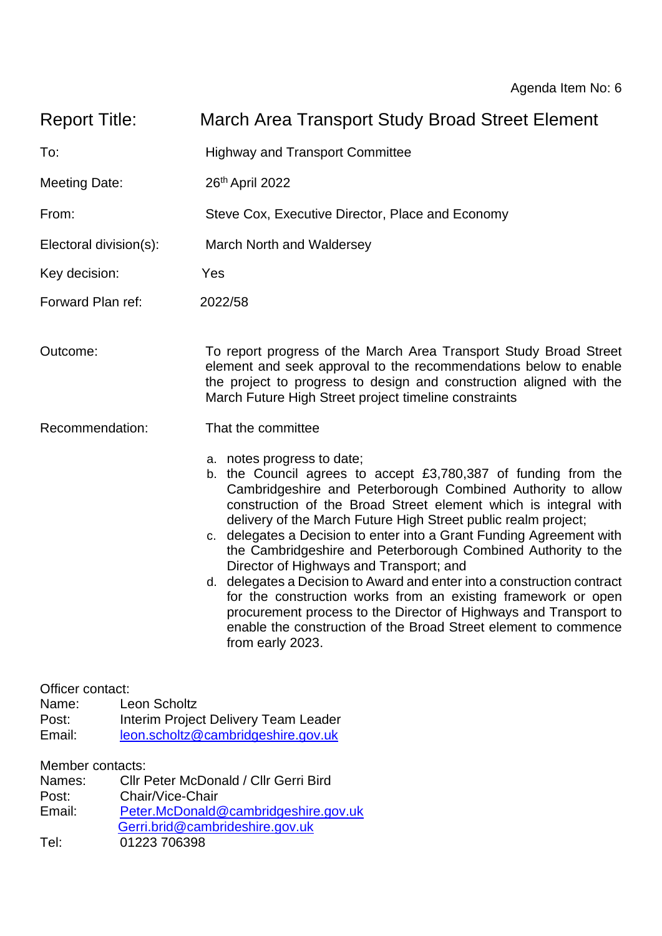| <b>Report Title:</b>                                                                      |                     | March Area Transport Study Broad Street Element                                                                                                                                                                                                                                                                                                                                                                                                                                                                                                                                                                                                                                                                                                                                               |  |  |  |  |  |  |  |  |  |
|-------------------------------------------------------------------------------------------|---------------------|-----------------------------------------------------------------------------------------------------------------------------------------------------------------------------------------------------------------------------------------------------------------------------------------------------------------------------------------------------------------------------------------------------------------------------------------------------------------------------------------------------------------------------------------------------------------------------------------------------------------------------------------------------------------------------------------------------------------------------------------------------------------------------------------------|--|--|--|--|--|--|--|--|--|
| To:                                                                                       |                     | <b>Highway and Transport Committee</b>                                                                                                                                                                                                                                                                                                                                                                                                                                                                                                                                                                                                                                                                                                                                                        |  |  |  |  |  |  |  |  |  |
| <b>Meeting Date:</b>                                                                      |                     | 26th April 2022                                                                                                                                                                                                                                                                                                                                                                                                                                                                                                                                                                                                                                                                                                                                                                               |  |  |  |  |  |  |  |  |  |
| From:                                                                                     |                     | Steve Cox, Executive Director, Place and Economy                                                                                                                                                                                                                                                                                                                                                                                                                                                                                                                                                                                                                                                                                                                                              |  |  |  |  |  |  |  |  |  |
| Electoral division(s):                                                                    |                     | March North and Waldersey                                                                                                                                                                                                                                                                                                                                                                                                                                                                                                                                                                                                                                                                                                                                                                     |  |  |  |  |  |  |  |  |  |
| Key decision:                                                                             |                     | Yes                                                                                                                                                                                                                                                                                                                                                                                                                                                                                                                                                                                                                                                                                                                                                                                           |  |  |  |  |  |  |  |  |  |
| Forward Plan ref:                                                                         |                     | 2022/58                                                                                                                                                                                                                                                                                                                                                                                                                                                                                                                                                                                                                                                                                                                                                                                       |  |  |  |  |  |  |  |  |  |
| Outcome:                                                                                  |                     | To report progress of the March Area Transport Study Broad Street<br>element and seek approval to the recommendations below to enable<br>the project to progress to design and construction aligned with the<br>March Future High Street project timeline constraints                                                                                                                                                                                                                                                                                                                                                                                                                                                                                                                         |  |  |  |  |  |  |  |  |  |
| Recommendation:                                                                           |                     | That the committee                                                                                                                                                                                                                                                                                                                                                                                                                                                                                                                                                                                                                                                                                                                                                                            |  |  |  |  |  |  |  |  |  |
|                                                                                           |                     | a. notes progress to date;<br>b. the Council agrees to accept $£3,780,387$ of funding from the<br>Cambridgeshire and Peterborough Combined Authority to allow<br>construction of the Broad Street element which is integral with<br>delivery of the March Future High Street public realm project;<br>c. delegates a Decision to enter into a Grant Funding Agreement with<br>the Cambridgeshire and Peterborough Combined Authority to the<br>Director of Highways and Transport; and<br>d. delegates a Decision to Award and enter into a construction contract<br>for the construction works from an existing framework or open<br>procurement process to the Director of Highways and Transport to<br>enable the construction of the Broad Street element to commence<br>from early 2023. |  |  |  |  |  |  |  |  |  |
| Officer contact:<br>Name:<br>Post:<br>Email:                                              | <b>Leon Scholtz</b> | Interim Project Delivery Team Leader<br>leon.scholtz@cambridgeshire.gov.uk                                                                                                                                                                                                                                                                                                                                                                                                                                                                                                                                                                                                                                                                                                                    |  |  |  |  |  |  |  |  |  |
| Member contacts:<br>Names:<br>Chair/Vice-Chair<br>Post:<br>Email:<br>01223 706398<br>Tel: |                     | Cllr Peter McDonald / Cllr Gerri Bird<br>Peter.McDonald@cambridgeshire.gov.uk<br>Gerri.brid@cambrideshire.gov.uk                                                                                                                                                                                                                                                                                                                                                                                                                                                                                                                                                                                                                                                                              |  |  |  |  |  |  |  |  |  |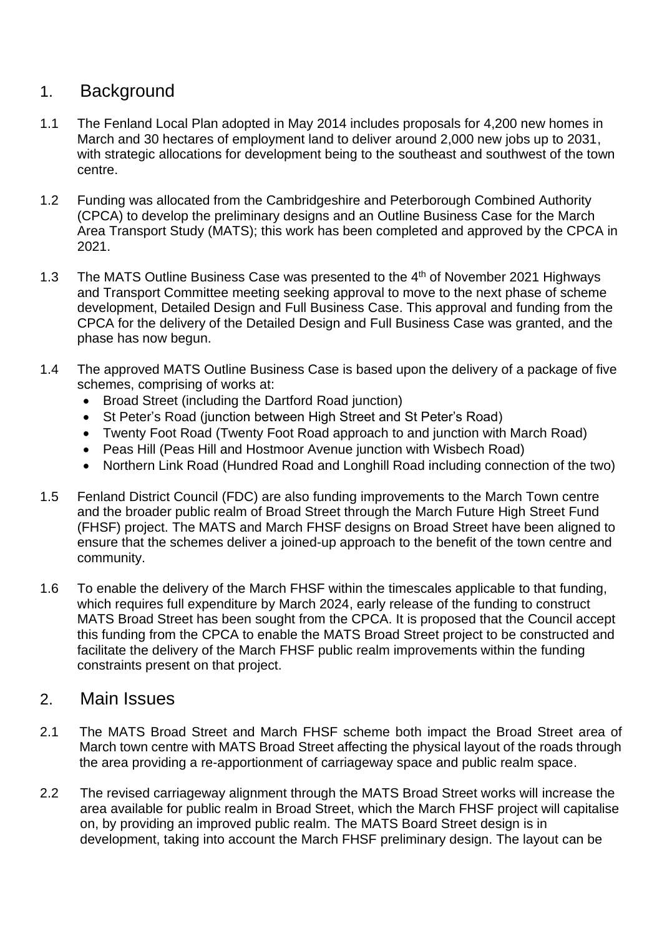## 1. Background

- 1.1 The Fenland Local Plan adopted in May 2014 includes proposals for 4,200 new homes in March and 30 hectares of employment land to deliver around 2,000 new jobs up to 2031, with strategic allocations for development being to the southeast and southwest of the town centre.
- 1.2 Funding was allocated from the Cambridgeshire and Peterborough Combined Authority (CPCA) to develop the preliminary designs and an Outline Business Case for the March Area Transport Study (MATS); this work has been completed and approved by the CPCA in 2021.
- 1.3 The MATS Outline Business Case was presented to the 4<sup>th</sup> of November 2021 Highways and Transport Committee meeting seeking approval to move to the next phase of scheme development, Detailed Design and Full Business Case. This approval and funding from the CPCA for the delivery of the Detailed Design and Full Business Case was granted, and the phase has now begun.
- 1.4 The approved MATS Outline Business Case is based upon the delivery of a package of five schemes, comprising of works at:
	- Broad Street (including the Dartford Road junction)
	- St Peter's Road (junction between High Street and St Peter's Road)
	- Twenty Foot Road (Twenty Foot Road approach to and junction with March Road)
	- Peas Hill (Peas Hill and Hostmoor Avenue junction with Wisbech Road)
	- Northern Link Road (Hundred Road and Longhill Road including connection of the two)
- 1.5 Fenland District Council (FDC) are also funding improvements to the March Town centre and the broader public realm of Broad Street through the March Future High Street Fund (FHSF) project. The MATS and March FHSF designs on Broad Street have been aligned to ensure that the schemes deliver a joined-up approach to the benefit of the town centre and community.
- 1.6 To enable the delivery of the March FHSF within the timescales applicable to that funding, which requires full expenditure by March 2024, early release of the funding to construct MATS Broad Street has been sought from the CPCA. It is proposed that the Council accept this funding from the CPCA to enable the MATS Broad Street project to be constructed and facilitate the delivery of the March FHSF public realm improvements within the funding constraints present on that project.

## 2. Main Issues

- 2.1 The MATS Broad Street and March FHSF scheme both impact the Broad Street area of March town centre with MATS Broad Street affecting the physical layout of the roads through the area providing a re-apportionment of carriageway space and public realm space.
- 2.2 The revised carriageway alignment through the MATS Broad Street works will increase the area available for public realm in Broad Street, which the March FHSF project will capitalise on, by providing an improved public realm. The MATS Board Street design is in development, taking into account the March FHSF preliminary design. The layout can be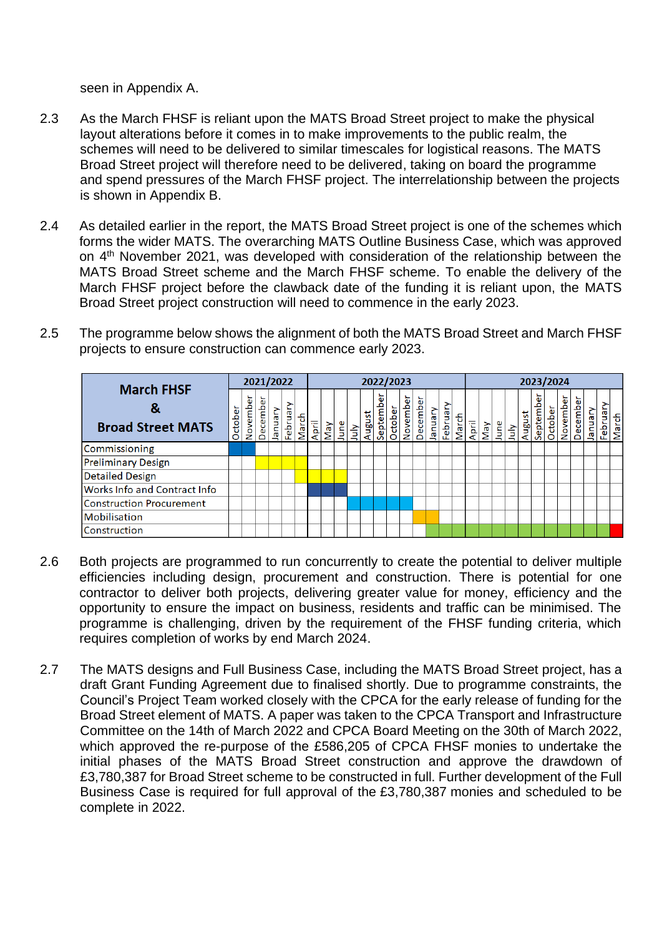seen in Appendix A.

- 2.3 As the March FHSF is reliant upon the MATS Broad Street project to make the physical layout alterations before it comes in to make improvements to the public realm, the schemes will need to be delivered to similar timescales for logistical reasons. The MATS Broad Street project will therefore need to be delivered, taking on board the programme and spend pressures of the March FHSF project. The interrelationship between the projects is shown in Appendix B.
- 2.4 As detailed earlier in the report, the MATS Broad Street project is one of the schemes which forms the wider MATS. The overarching MATS Outline Business Case, which was approved on 4<sup>th</sup> November 2021, was developed with consideration of the relationship between the MATS Broad Street scheme and the March FHSF scheme. To enable the delivery of the March FHSF project before the clawback date of the funding it is reliant upon, the MATS Broad Street project construction will need to commence in the early 2023.
- 2.5 The programme below shows the alignment of both the MATS Broad Street and March FHSF projects to ensure construction can commence early 2023.

|                                                    | 2021/2022 |          |             |         |              |       | 2022/2023 |     |      |            |        |               |         |          |          |         |          |       | 2023/2024 |     |      |      |        |             |         |          |          |         |          |       |
|----------------------------------------------------|-----------|----------|-------------|---------|--------------|-------|-----------|-----|------|------------|--------|---------------|---------|----------|----------|---------|----------|-------|-----------|-----|------|------|--------|-------------|---------|----------|----------|---------|----------|-------|
| <b>March FHSF</b><br>o<br><b>Broad Street MATS</b> |           | November | 눕<br>Decemb | Vienuel | S<br>Februar | March | April     | Vay | June | <u>lar</u> | August | ō<br>Septembe | October | November | December | January | February | March | April     | VeM | June | July | August | Φ<br>Septem | October | November | December | Vienuel | February | March |
| Commissioning                                      |           |          |             |         |              |       |           |     |      |            |        |               |         |          |          |         |          |       |           |     |      |      |        |             |         |          |          |         |          |       |
| <b>Preliminary Design</b>                          |           |          |             |         |              |       |           |     |      |            |        |               |         |          |          |         |          |       |           |     |      |      |        |             |         |          |          |         |          |       |
| <b>Detailed Design</b>                             |           |          |             |         |              |       |           |     |      |            |        |               |         |          |          |         |          |       |           |     |      |      |        |             |         |          |          |         |          |       |
| Works Info and Contract Info                       |           |          |             |         |              |       |           |     |      |            |        |               |         |          |          |         |          |       |           |     |      |      |        |             |         |          |          |         |          |       |
| <b>Construction Procurement</b>                    |           |          |             |         |              |       |           |     |      |            |        |               |         |          |          |         |          |       |           |     |      |      |        |             |         |          |          |         |          |       |
| <b>Mobilisation</b>                                |           |          |             |         |              |       |           |     |      |            |        |               |         |          |          |         |          |       |           |     |      |      |        |             |         |          |          |         |          |       |
| Construction                                       |           |          |             |         |              |       |           |     |      |            |        |               |         |          |          |         |          |       |           |     |      |      |        |             |         |          |          |         |          |       |

- 2.6 Both projects are programmed to run concurrently to create the potential to deliver multiple efficiencies including design, procurement and construction. There is potential for one contractor to deliver both projects, delivering greater value for money, efficiency and the opportunity to ensure the impact on business, residents and traffic can be minimised. The programme is challenging, driven by the requirement of the FHSF funding criteria, which requires completion of works by end March 2024.
- 2.7 The MATS designs and Full Business Case, including the MATS Broad Street project, has a draft Grant Funding Agreement due to finalised shortly. Due to programme constraints, the Council's Project Team worked closely with the CPCA for the early release of funding for the Broad Street element of MATS. A paper was taken to the CPCA Transport and Infrastructure Committee on the 14th of March 2022 and CPCA Board Meeting on the 30th of March 2022, which approved the re-purpose of the £586,205 of CPCA FHSF monies to undertake the initial phases of the MATS Broad Street construction and approve the drawdown of £3,780,387 for Broad Street scheme to be constructed in full. Further development of the Full Business Case is required for full approval of the £3,780,387 monies and scheduled to be complete in 2022.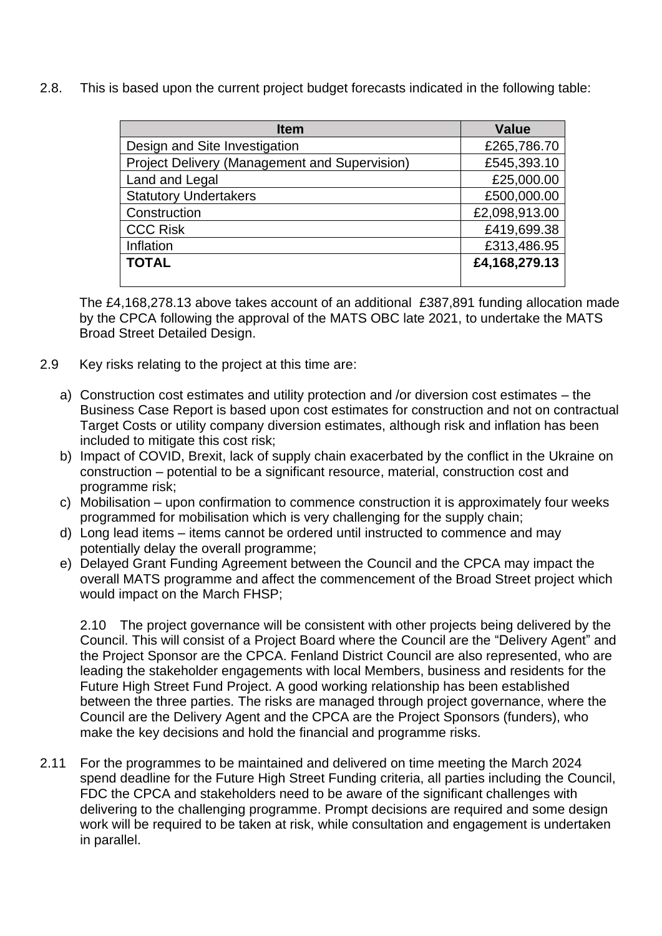2.8. This is based upon the current project budget forecasts indicated in the following table:

| <b>Item</b>                                          | <b>Value</b>  |  |  |  |  |  |
|------------------------------------------------------|---------------|--|--|--|--|--|
| Design and Site Investigation                        | £265,786.70   |  |  |  |  |  |
| <b>Project Delivery (Management and Supervision)</b> | £545,393.10   |  |  |  |  |  |
| Land and Legal                                       | £25,000.00    |  |  |  |  |  |
| <b>Statutory Undertakers</b>                         | £500,000.00   |  |  |  |  |  |
| Construction                                         | £2,098,913.00 |  |  |  |  |  |
| <b>CCC Risk</b>                                      | £419,699.38   |  |  |  |  |  |
| Inflation                                            | £313,486.95   |  |  |  |  |  |
| <b>TOTAL</b>                                         | £4,168,279.13 |  |  |  |  |  |
|                                                      |               |  |  |  |  |  |

The £4,168,278.13 above takes account of an additional £387,891 funding allocation made by the CPCA following the approval of the MATS OBC late 2021, to undertake the MATS Broad Street Detailed Design.

- 2.9 Key risks relating to the project at this time are:
	- a) Construction cost estimates and utility protection and /or diversion cost estimates the Business Case Report is based upon cost estimates for construction and not on contractual Target Costs or utility company diversion estimates, although risk and inflation has been included to mitigate this cost risk;
	- b) Impact of COVID, Brexit, lack of supply chain exacerbated by the conflict in the Ukraine on construction – potential to be a significant resource, material, construction cost and programme risk;
	- c) Mobilisation upon confirmation to commence construction it is approximately four weeks programmed for mobilisation which is very challenging for the supply chain;
	- d) Long lead items items cannot be ordered until instructed to commence and may potentially delay the overall programme;
	- e) Delayed Grant Funding Agreement between the Council and the CPCA may impact the overall MATS programme and affect the commencement of the Broad Street project which would impact on the March FHSP;

2.10 The project governance will be consistent with other projects being delivered by the Council. This will consist of a Project Board where the Council are the "Delivery Agent" and the Project Sponsor are the CPCA. Fenland District Council are also represented, who are leading the stakeholder engagements with local Members, business and residents for the Future High Street Fund Project. A good working relationship has been established between the three parties. The risks are managed through project governance, where the Council are the Delivery Agent and the CPCA are the Project Sponsors (funders), who make the key decisions and hold the financial and programme risks.

2.11 For the programmes to be maintained and delivered on time meeting the March 2024 spend deadline for the Future High Street Funding criteria, all parties including the Council, FDC the CPCA and stakeholders need to be aware of the significant challenges with delivering to the challenging programme. Prompt decisions are required and some design work will be required to be taken at risk, while consultation and engagement is undertaken in parallel.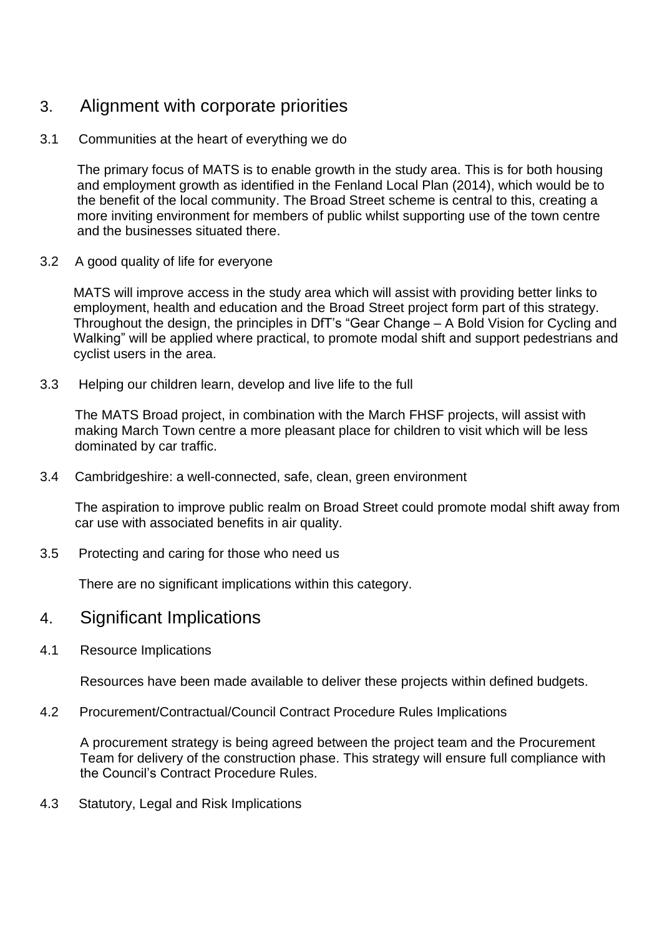# 3. Alignment with corporate priorities

### 3.1 Communities at the heart of everything we do

 The primary focus of MATS is to enable growth in the study area. This is for both housing and employment growth as identified in the Fenland Local Plan (2014), which would be to the benefit of the local community. The Broad Street scheme is central to this, creating a more inviting environment for members of public whilst supporting use of the town centre and the businesses situated there.

#### 3.2 A good quality of life for everyone

 MATS will improve access in the study area which will assist with providing better links to employment, health and education and the Broad Street project form part of this strategy. Throughout the design, the principles in DfT's "Gear Change – A Bold Vision for Cycling and Walking" will be applied where practical, to promote modal shift and support pedestrians and cyclist users in the area.

3.3 Helping our children learn, develop and live life to the full

 The MATS Broad project, in combination with the March FHSF projects, will assist with making March Town centre a more pleasant place for children to visit which will be less dominated by car traffic.

3.4 Cambridgeshire: a well-connected, safe, clean, green environment

 The aspiration to improve public realm on Broad Street could promote modal shift away from car use with associated benefits in air quality.

3.5 Protecting and caring for those who need us

There are no significant implications within this category.

## 4. Significant Implications

4.1 Resource Implications

Resources have been made available to deliver these projects within defined budgets.

4.2 Procurement/Contractual/Council Contract Procedure Rules Implications

A procurement strategy is being agreed between the project team and the Procurement Team for delivery of the construction phase. This strategy will ensure full compliance with the Council's Contract Procedure Rules.

4.3 Statutory, Legal and Risk Implications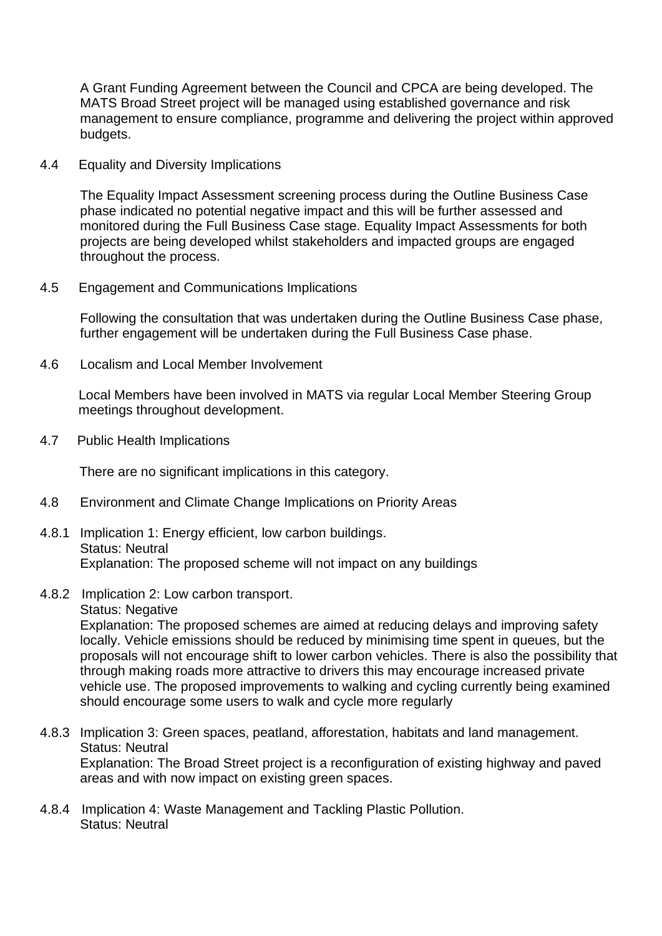A Grant Funding Agreement between the Council and CPCA are being developed. The MATS Broad Street project will be managed using established governance and risk management to ensure compliance, programme and delivering the project within approved budgets.

4.4 Equality and Diversity Implications

The Equality Impact Assessment screening process during the Outline Business Case phase indicated no potential negative impact and this will be further assessed and monitored during the Full Business Case stage. Equality Impact Assessments for both projects are being developed whilst stakeholders and impacted groups are engaged throughout the process.

#### 4.5 Engagement and Communications Implications

Following the consultation that was undertaken during the Outline Business Case phase, further engagement will be undertaken during the Full Business Case phase.

4.6 Localism and Local Member Involvement

 Local Members have been involved in MATS via regular Local Member Steering Group meetings throughout development.

4.7 Public Health Implications

There are no significant implications in this category.

- 4.8 Environment and Climate Change Implications on Priority Areas
- 4.8.1 Implication 1: Energy efficient, low carbon buildings. Status: Neutral Explanation: The proposed scheme will not impact on any buildings
- 4.8.2 Implication 2: Low carbon transport.
	- Status: Negative

Explanation: The proposed schemes are aimed at reducing delays and improving safety locally. Vehicle emissions should be reduced by minimising time spent in queues, but the proposals will not encourage shift to lower carbon vehicles. There is also the possibility that through making roads more attractive to drivers this may encourage increased private vehicle use. The proposed improvements to walking and cycling currently being examined should encourage some users to walk and cycle more regularly

- 4.8.3 Implication 3: Green spaces, peatland, afforestation, habitats and land management. Status: Neutral Explanation: The Broad Street project is a reconfiguration of existing highway and paved areas and with now impact on existing green spaces.
- 4.8.4 Implication 4: Waste Management and Tackling Plastic Pollution. Status: Neutral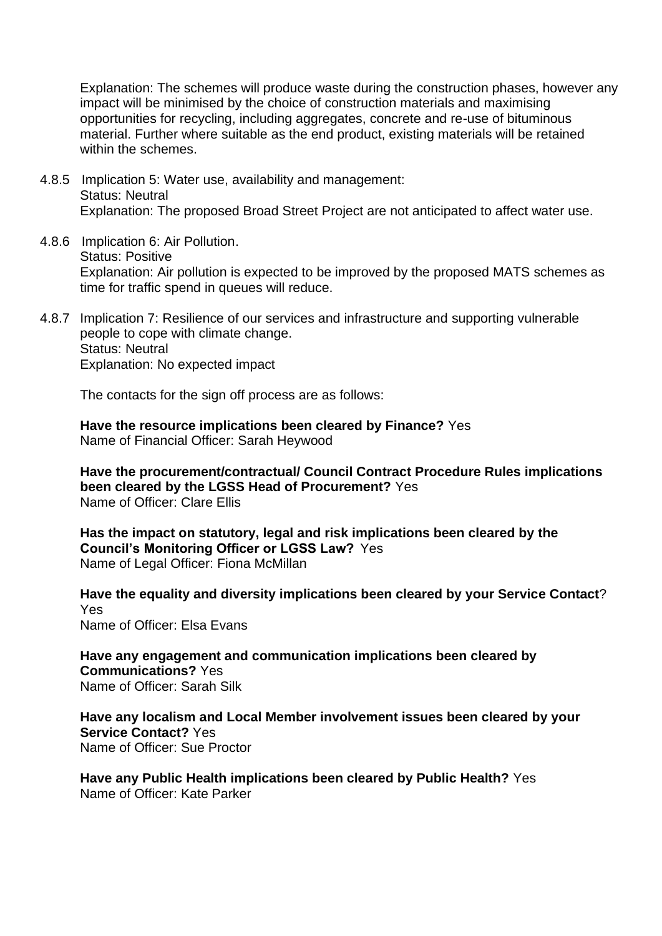Explanation: The schemes will produce waste during the construction phases, however any impact will be minimised by the choice of construction materials and maximising opportunities for recycling, including aggregates, concrete and re-use of bituminous material. Further where suitable as the end product, existing materials will be retained within the schemes.

- 4.8.5 Implication 5: Water use, availability and management: Status: Neutral Explanation: The proposed Broad Street Project are not anticipated to affect water use.
- 4.8.6 Implication 6: Air Pollution. Status: Positive Explanation: Air pollution is expected to be improved by the proposed MATS schemes as time for traffic spend in queues will reduce.
- 4.8.7 Implication 7: Resilience of our services and infrastructure and supporting vulnerable people to cope with climate change. Status: Neutral Explanation: No expected impact

The contacts for the sign off process are as follows:

**Have the resource implications been cleared by Finance?** Yes Name of Financial Officer: Sarah Heywood

**Have the procurement/contractual/ Council Contract Procedure Rules implications been cleared by the LGSS Head of Procurement?** Yes Name of Officer: Clare Ellis

**Has the impact on statutory, legal and risk implications been cleared by the Council's Monitoring Officer or LGSS Law?** Yes Name of Legal Officer: Fiona McMillan

**Have the equality and diversity implications been cleared by your Service Contact**? Yes Name of Officer: Elsa Evans

**Have any engagement and communication implications been cleared by Communications?** Yes Name of Officer: Sarah Silk

**Have any localism and Local Member involvement issues been cleared by your Service Contact?** Yes Name of Officer: Sue Proctor

**Have any Public Health implications been cleared by Public Health?** Yes Name of Officer: Kate Parker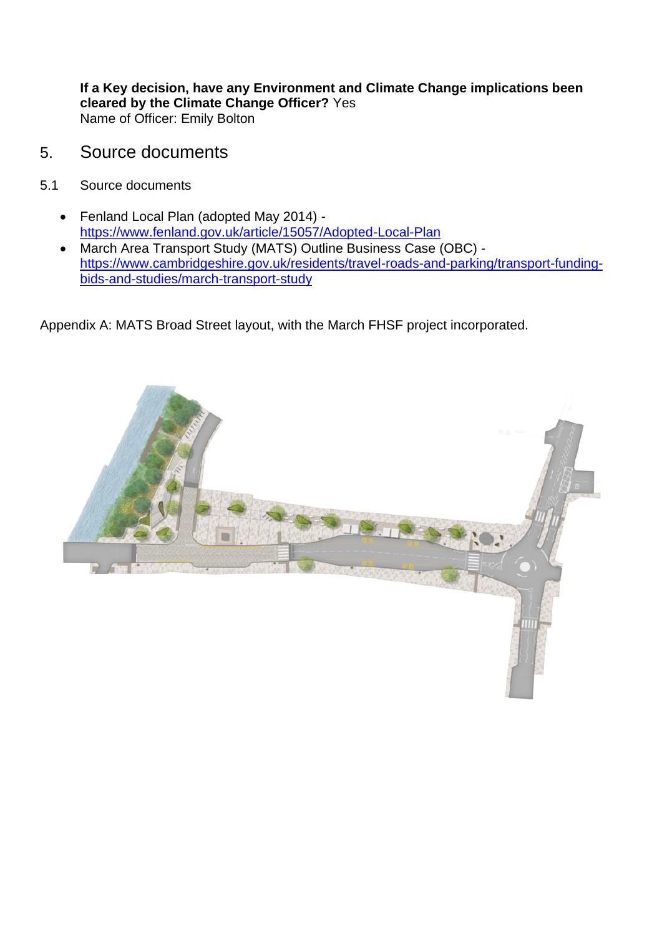**If a Key decision, have any Environment and Climate Change implications been cleared by the Climate Change Officer?** Yes Name of Officer: Emily Bolton

- 5. Source documents
- 5.1 Source documents
	- Fenland Local Plan (adopted May 2014) <https://www.fenland.gov.uk/article/15057/Adopted-Local-Plan>
	- March Area Transport Study (MATS) Outline Business Case (OBC) [https://www.cambridgeshire.gov.uk/residents/travel-roads-and-parking/transport-funding](https://www.cambridgeshire.gov.uk/residents/travel-roads-and-parking/transport-funding-bids-and-studies/march-transport-study)[bids-and-studies/march-transport-study](https://www.cambridgeshire.gov.uk/residents/travel-roads-and-parking/transport-funding-bids-and-studies/march-transport-study)

Appendix A: MATS Broad Street layout, with the March FHSF project incorporated.